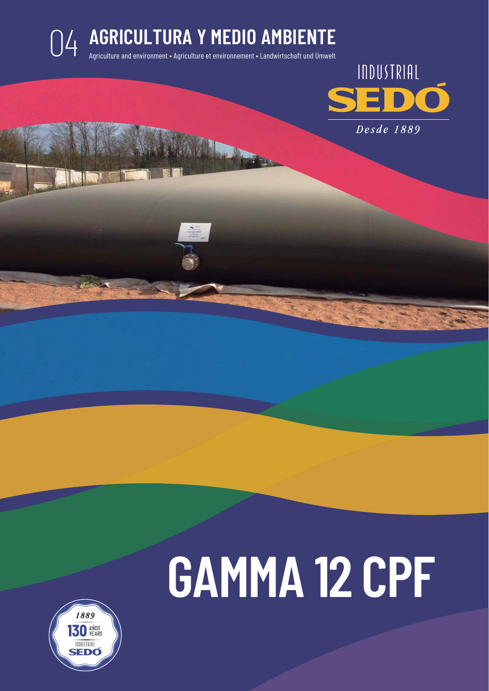### **AGRICULTURA Y MEDIO AMBIENTE**<br>Agriculture and environment • Agriculture et environnement • Landwirtschaft und Umwelt



# **GAMMA 12 CPF**

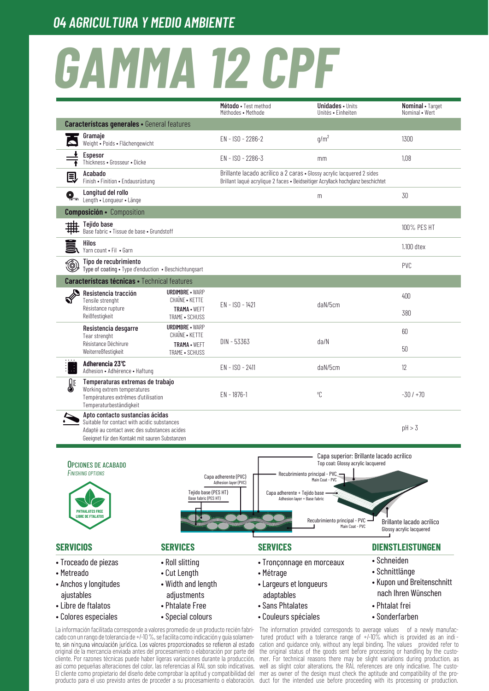## **GAMMA 12 CPF**

|                                                 |                                                                                                                                                                                  |                                                                                                                                                                                       | Método • Test method<br>Méthodes • Methode                                                                                                                | <b>Unidades</b> • Units<br>Unités • Finheiten                         | Nominal • Target<br>Nominal • Wert                    |
|-------------------------------------------------|----------------------------------------------------------------------------------------------------------------------------------------------------------------------------------|---------------------------------------------------------------------------------------------------------------------------------------------------------------------------------------|-----------------------------------------------------------------------------------------------------------------------------------------------------------|-----------------------------------------------------------------------|-------------------------------------------------------|
|                                                 | <b>Característcas generales · General features</b>                                                                                                                               |                                                                                                                                                                                       |                                                                                                                                                           |                                                                       |                                                       |
|                                                 | Gramaje<br>Weight • Poids • Flächengewicht                                                                                                                                       |                                                                                                                                                                                       | EN - ISO - 2286-2                                                                                                                                         | q/m <sup>2</sup>                                                      | 1300                                                  |
|                                                 | Espesor<br>Thickness • Grosseur • Dicke                                                                                                                                          |                                                                                                                                                                                       | EN - ISO - 2286-3                                                                                                                                         | mm                                                                    | 1,08                                                  |
|                                                 | Acabado<br>Finish • Finition • Endausrüstung                                                                                                                                     |                                                                                                                                                                                       | Brillante lacado acrílico a 2 caras · Glossy acrylic lacquered 2 sides<br>Brillant laqué acrylique 2 faces · Beidseitiger Acryllack hochglanz beschichtet |                                                                       |                                                       |
| Q                                               | Longitud del rollo<br>Length • Longueur • Länge                                                                                                                                  |                                                                                                                                                                                       |                                                                                                                                                           | m                                                                     | 30                                                    |
|                                                 | <b>Composición ·</b> Composition                                                                                                                                                 |                                                                                                                                                                                       |                                                                                                                                                           |                                                                       |                                                       |
|                                                 | Tejido base<br>Base fabric • Tissue de base • Grundstoff                                                                                                                         |                                                                                                                                                                                       |                                                                                                                                                           |                                                                       | 100% PES HT                                           |
|                                                 | Hilos<br>Yarn count . Fil . Garn                                                                                                                                                 |                                                                                                                                                                                       |                                                                                                                                                           |                                                                       | 1.100 dtex                                            |
| ۱                                               | Tipo de recubrimiento<br>Type of coating . Type d'enduction . Beschichtungsart                                                                                                   |                                                                                                                                                                                       |                                                                                                                                                           |                                                                       | PVC                                                   |
|                                                 | <b>Característcas técnicas · Technical features</b>                                                                                                                              |                                                                                                                                                                                       |                                                                                                                                                           |                                                                       |                                                       |
|                                                 | Resistencia tracción<br>Tensile strenght                                                                                                                                         | <b>URDIMBRE - WARP</b><br><b>CHAINE • KETTE</b>                                                                                                                                       |                                                                                                                                                           |                                                                       | 400                                                   |
|                                                 | Résistance rupture<br>Reißfestigkeit                                                                                                                                             | TRAMA · WEFT<br>TRAME • SCHUSS                                                                                                                                                        | EN - ISO - 1421                                                                                                                                           | daN/5cm                                                               | 380                                                   |
|                                                 | Resistencia desgarre<br>Tear strenght                                                                                                                                            | <b>URDIMBRE · WARP</b><br>CHAÎNE • KETTE                                                                                                                                              |                                                                                                                                                           |                                                                       | 60                                                    |
|                                                 | Résistance Déchirure<br>Weiterreßfestigkeit                                                                                                                                      | TRAMA · WEFT<br>TRAME • SCHUSS                                                                                                                                                        | DIN - 53363                                                                                                                                               | da/N                                                                  | 50                                                    |
| J.                                              | Adherencia 23°C<br>Adhesion • Adhérence • Haftung                                                                                                                                |                                                                                                                                                                                       | EN - ISO - 2411                                                                                                                                           | daN/5cm                                                               | 12                                                    |
| <b>SE</b>                                       | Temperaturas extremas de trabajo<br>Working extrem temperatures<br>Températures extrêmes d'utilisation<br>Temperaturbeständigkeit                                                |                                                                                                                                                                                       | $EN - 1876 - 1$                                                                                                                                           | °C                                                                    | $-30/+70$                                             |
|                                                 | Apto contacto sustancias ácidas<br>Suitable for contact with acidic substances<br>Adapté au contact avec des substances acides<br>Geeignet für den Kontakt mit sauren Substanzen |                                                                                                                                                                                       |                                                                                                                                                           |                                                                       | pH > 3                                                |
|                                                 |                                                                                                                                                                                  |                                                                                                                                                                                       |                                                                                                                                                           |                                                                       | Capa superior: Brillante lacado acrílico              |
| <b>OPCIONES DE ACABADO</b><br>FINISHING OPTIONS |                                                                                                                                                                                  |                                                                                                                                                                                       |                                                                                                                                                           | Top coat: Glossy acrylic lacquered<br>Recubrimiento principal - PVC - |                                                       |
|                                                 |                                                                                                                                                                                  |                                                                                                                                                                                       | Capa adherente (PVC)<br>Adhesion layer (PVC)                                                                                                              | Main Coat - PVC                                                       |                                                       |
|                                                 |                                                                                                                                                                                  | Tejido base (PES HT)<br>Base fabric (PES HT)                                                                                                                                          |                                                                                                                                                           | Capa adherente + Tejido base -<br>Adhesion layer + Base fabric        |                                                       |
|                                                 | <b>PHTHALATES FRE</b>                                                                                                                                                            |                                                                                                                                                                                       |                                                                                                                                                           |                                                                       |                                                       |
|                                                 |                                                                                                                                                                                  |                                                                                                                                                                                       |                                                                                                                                                           | Recubrimiento principal - PVC<br>Main Coat - PVC                      | Brillante lacado acrílico<br>Glossy acrylic lacquered |
| <b>SERVICIOS</b>                                |                                                                                                                                                                                  | <b>SERVICES</b>                                                                                                                                                                       | <b>SERVICES</b>                                                                                                                                           |                                                                       | <b>DIENSTLEISTUNGEN</b>                               |
|                                                 | • Troceado de piezas                                                                                                                                                             | • Roll slitting                                                                                                                                                                       |                                                                                                                                                           | • Tronçonnage en morceaux                                             | • Schneiden                                           |
| • Metreado                                      |                                                                                                                                                                                  | • Cut Length                                                                                                                                                                          | • Métrage                                                                                                                                                 |                                                                       | • Schnittlänge                                        |
| • Anchos y longitudes                           |                                                                                                                                                                                  | • Width and length                                                                                                                                                                    |                                                                                                                                                           | • Largeurs et longueurs                                               | • Kupon und Breitenschnitt<br>nach Ihren Wünschen     |
| ajustables                                      |                                                                                                                                                                                  | adjustments                                                                                                                                                                           | adaptables                                                                                                                                                |                                                                       |                                                       |
|                                                 | • Libre de ftalatos                                                                                                                                                              | • Phtalate Free                                                                                                                                                                       |                                                                                                                                                           | • Sans Phtalates                                                      | • Phtalat frei                                        |
| • Colores especiales                            |                                                                                                                                                                                  | • Special colours<br>La información facilitada corresponde a valores promedio de un producto recién fabri- The information provided corresponds to average values of a newly manufac- |                                                                                                                                                           | • Couleurs spéciales                                                  | • Sonderfarben                                        |

cado con un rango de tolerancia de +/-10 %, se facilita como indicación y quía solamente, sin ninguna vinculación jurídica. Los valores proporcionados se refieren al estado original de la mercancía enviada antes del procesamiento o elaboración por parte del cliente. Por razones técnicas puede haber ligeras variaciones durante la producción, así como pequeñas alteraciones del color, las referencias al RAL son solo indicativas. El cliente como propietario del diseño debe comprobar la aptitud y compatibilidad del producto para el uso previsto antes de proceder a su procesamiento o elaboración.

tured product with a tolerance range of +/-10% which is provided as an indication and quidance only, without any legal binding. The values provided refer to the original status of the goods sent before processing or handling by the custothe construction of the design there may be slight variations during production, as<br>well as slight color alterations, the RAL references are only indicative. The custo-<br>mer as owner of the design must check the aptitude an duct for the intended use before proceeding with its processing or production.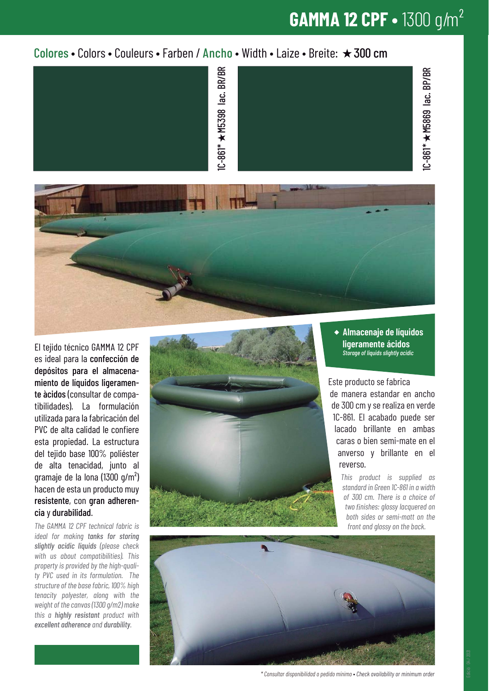#### **GAMMA 12 CPF •** 1300 g/m²

#### Colores • Colors • Couleurs • Farben / Ancho • Width • Laize • Breite:  $\star$  300 cm





El tejido técnico GAMMA 12 CPF es ideal para la confección de depósitos para el almacenamiento de líquidos ligeramente àcidos (consultar de compatibilidades). La formulación utilizada para la fabricación del PVC de alta calidad le confiere esta propiedad. La estructura del tejido base 100% poliéster de alta tenacidad, junto al gramaje de la lona (1300 g/m²) hacen de esta un producto muy resistente, con gran adherencia y durabilidad.

*The GAMMA 12 CPF technical fabric is ideal for making tanks for storing slightly acidic liquids (please check with us about compatibilities). This property is provided by the high-quality PVC used in its formulation. The structure of the base fabric, 100% high tenacity polyester, along with the weight of the canvas (1300 g/m2) make this a highly resistant product with excellent adherence and durability.*



**Almacenaje de líquidos ligeramente ácidos** *Storage of liquids slightly acidic*

Este producto se fabrica de manera estandar en ancho de 300 cm y se realiza en verde 1C-861. El acabado puede ser lacado brillante en ambas caras o bien semi-mate en el anverso y brillante en el reverso.

> *This product is supplied as standard in Green 1C-861 in a width of 300 cm. There is a choice of two nishes: glossy lacquered on both sides or semi-matt on the front and glossy on the back.*



*\* Consultar disponibilidad o pedido mínimo* • *Check availability or minimum order*